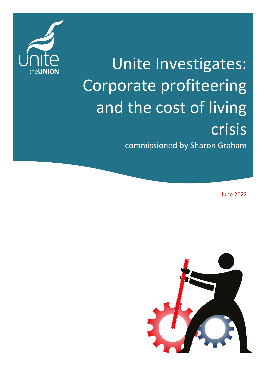

# Unite Investigates: Corporate profiteering and the cost of living crisis commissioned by Sharon Graham

June 2022

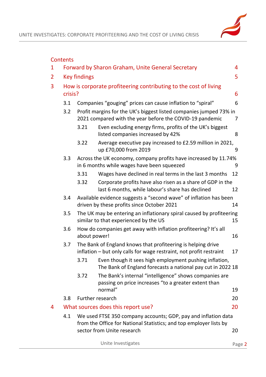

|   | <b>Contents</b>                                                   |                                                                                                                                      |                                                                                                                                     |        |  |
|---|-------------------------------------------------------------------|--------------------------------------------------------------------------------------------------------------------------------------|-------------------------------------------------------------------------------------------------------------------------------------|--------|--|
| 1 |                                                                   |                                                                                                                                      | Forward by Sharon Graham, Unite General Secretary                                                                                   | 4      |  |
| 2 |                                                                   | <b>Key findings</b>                                                                                                                  |                                                                                                                                     | 5      |  |
| 3 |                                                                   |                                                                                                                                      | How is corporate profiteering contributing to the cost of living                                                                    |        |  |
|   | crisis?<br>6                                                      |                                                                                                                                      |                                                                                                                                     |        |  |
|   | Companies "gouging" prices can cause inflation to "spiral"<br>3.1 |                                                                                                                                      |                                                                                                                                     | 6      |  |
|   | 3.2                                                               | Profit margins for the UK's biggest listed companies jumped 73% in<br>2021 compared with the year before the COVID-19 pandemic<br>7  |                                                                                                                                     |        |  |
|   |                                                                   | 3.21                                                                                                                                 | Even excluding energy firms, profits of the UK's biggest<br>listed companies increased by 42%                                       | 8      |  |
|   |                                                                   | 3.22                                                                                                                                 | Average executive pay increased to £2.59 million in 2021,<br>up £70,000 from 2019                                                   | 9      |  |
|   | 3.3                                                               |                                                                                                                                      | Across the UK economy, company profits have increased by 11.74%<br>in 6 months while wages have been squeezed                       | 9      |  |
|   |                                                                   | 3.31                                                                                                                                 | Wages have declined in real terms in the last 3 months                                                                              | 12     |  |
|   |                                                                   | 3.32                                                                                                                                 | Corporate profits have also risen as a share of GDP in the<br>last 6 months, while labour's share has declined                      | 12     |  |
|   | 3.4                                                               | Available evidence suggests a "second wave" of inflation has been<br>driven by these profits since October 2021<br>14                |                                                                                                                                     |        |  |
|   | 3.5                                                               | The UK may be entering an inflationary spiral caused by profiteering<br>similar to that experienced by the US<br>15                  |                                                                                                                                     |        |  |
|   | 3.6                                                               | How do companies get away with inflation profiteering? It's all<br>about power!                                                      |                                                                                                                                     |        |  |
|   | 3.7                                                               |                                                                                                                                      | The Bank of England knows that profiteering is helping drive<br>inflation - but only calls for wage restraint, not profit restraint | 17     |  |
|   |                                                                   | 3.71                                                                                                                                 | Even though it sees high employment pushing inflation,<br>The Bank of England forecasts a national pay cut in 2022 18               |        |  |
|   |                                                                   | 3.72                                                                                                                                 | The Bank's internal "intelligence" shows companies are<br>passing on price increases "to a greater extent than<br>normal"           | 19     |  |
|   | 3.8                                                               |                                                                                                                                      | Further research                                                                                                                    | 20     |  |
| 4 |                                                                   |                                                                                                                                      | What sources does this report use?                                                                                                  | 20     |  |
|   | 4.1                                                               | We used FTSE 350 company accounts; GDP, pay and inflation data<br>from the Office for National Statistics; and top employer lists by |                                                                                                                                     |        |  |
|   |                                                                   |                                                                                                                                      | sector from Unite research                                                                                                          | 20     |  |
|   |                                                                   |                                                                                                                                      | Unite Investigates                                                                                                                  | Page 2 |  |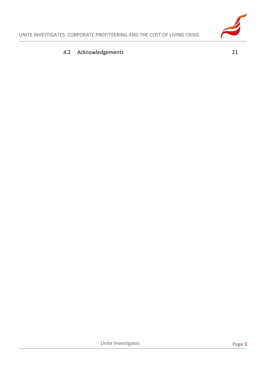#### 4.2 [Acknowledgements](#page-20-0) 21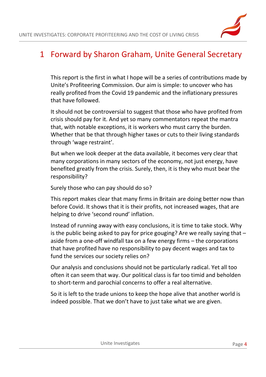

## <span id="page-3-0"></span>1 Forward by Sharon Graham, Unite General Secretary

This report is the first in what I hope will be a series of contributions made by Unite's Profiteering Commission. Our aim is simple: to uncover who has really profited from the Covid 19 pandemic and the inflationary pressures that have followed.

It should not be controversial to suggest that those who have profited from crisis should pay for it. And yet so many commentators repeat the mantra that, with notable exceptions, it is workers who must carry the burden. Whether that be that through higher taxes or cuts to their living standards through 'wage restraint'.

But when we look deeper at the data available, it becomes very clear that many corporations in many sectors of the economy, not just energy, have benefited greatly from the crisis. Surely, then, it is they who must bear the responsibility?

Surely those who can pay should do so?

This report makes clear that many firms in Britain are doing better now than before Covid. It shows that it is their profits, not increased wages, that are helping to drive 'second round' inflation.

Instead of running away with easy conclusions, it is time to take stock. Why is the public being asked to pay for price gouging? Are we really saying that – aside from a one-off windfall tax on a few energy firms – the corporations that have profited have no responsibility to pay decent wages and tax to fund the services our society relies on?

Our analysis and conclusions should not be particularly radical. Yet all too often it can seem that way. Our political class is far too timid and beholden to short-term and parochial concerns to offer a real alternative.

So it is left to the trade unions to keep the hope alive that another world is indeed possible. That we don't have to just take what we are given.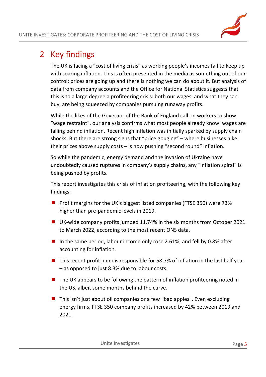# <span id="page-4-0"></span>2 Key findings

The UK is facing a "cost of living crisis" as working people's incomes fail to keep up with soaring inflation. This is often presented in the media as something out of our control: prices are going up and there is nothing we can do about it. But analysis of data from company accounts and the Office for National Statistics suggests that this is to a large degree a profiteering crisis: both our wages, and what they can buy, are being squeezed by companies pursuing runaway profits.

While the likes of the Governor of the Bank of England call on workers to show "wage restraint", our analysis confirms what most people already know: wages are falling behind inflation. Recent high inflation was initially sparked by supply chain shocks. But there are strong signs that "price gouging" – where businesses hike their prices above supply costs – is now pushing "second round" inflation.

So while the pandemic, energy demand and the invasion of Ukraine have undoubtedly caused ruptures in company's supply chains, any "inflation spiral" is being pushed by profits.

This report investigates this crisis of inflation profiteering, with the following key findings:

- **Profit margins for the UK's biggest listed companies (FTSE 350) were 73%** higher than pre-pandemic levels in 2019.
- UK-wide company profits jumped 11.74% in the six months from October 2021 to March 2022, according to the most recent ONS data.
- In the same period, labour income only rose 2.61%; and fell by 0.8% after accounting for inflation.
- $\blacksquare$  This recent profit jump is responsible for 58.7% of inflation in the last half year – as opposed to just 8.3% due to labour costs.
- The UK appears to be following the pattern of inflation profiteering noted in the US, albeit some months behind the curve.
- $\blacksquare$  This isn't just about oil companies or a few "bad apples". Even excluding energy firms, FTSE 350 company profits increased by 42% between 2019 and 2021.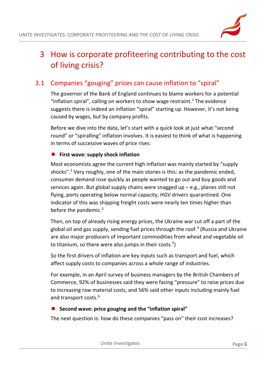

# <span id="page-5-0"></span>3 How is corporate profiteering contributing to the cost of living crisis?

## <span id="page-5-1"></span>3.1 Companies "gouging" prices can cause inflation to "spiral"

The governor of the Bank of England continues to blame workers for a potential "inflation spiral", calling on workers to show wage restraint.<sup>1</sup> The evidence suggests there is indeed an inflation "spiral" starting up. However, it's not being caused by wages, but by company profits.

Before we dive into the data, let's start with a quick look at just what "second round" or "spiralling" inflation involves. It is easiest to think of what is happening in terms of successive waves of price rises:

#### **First wave: supply shock inflation**

Most economists agree the current high inflation was mainly started by "supply shocks".<sup>2</sup> Very roughly, one of the main stories is this: as the pandemic ended, consumer demand rose quickly as people wanted to go out and buy goods and services again. But global supply chains were snagged up  $-e.g.,$  planes still not flying, ports operating below normal capacity, HGV drivers quarantined. One indicator of this was shipping freight costs were nearly ten times higher than before the pandemic. $3$ 

Then, on top of already rising energy prices, the Ukraine war cut off a part of the global oil and gas supply, sending fuel prices through the roof.<sup>4</sup> (Russia and Ukraine are also major producers of important commodities from wheat and vegetable oil to titanium, so there were also jumps in their costs.<sup>5</sup>)

So the first drivers of inflation are key inputs such as transport and fuel, which affect supply costs to companies across a whole range of industries.

For example, in an April survey of business managers by the British Chambers of Commerce, 92% of businesses said they were facing "pressure" to raise prices due to increasing raw material costs, and 56% said other inputs including mainly fuel and transport costs.<sup>6</sup>

#### **Second wave: price gouging and the "inflation spiral"**

The next question is: how do these companies "pass on" their cost increases?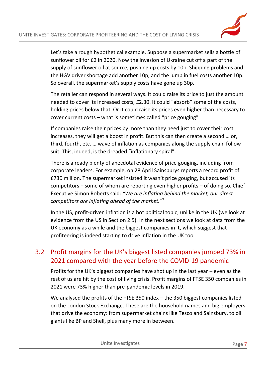

Let's take a rough hypothetical example. Suppose a supermarket sells a bottle of sunflower oil for £2 in 2020. Now the invasion of Ukraine cut off a part of the supply of sunflower oil at source, pushing up costs by 10p. Shipping problems and the HGV driver shortage add another 10p, and the jump in fuel costs another 10p. So overall, the supermarket's supply costs have gone up 30p.

The retailer can respond in several ways. It could raise its price to just the amount needed to cover its increased costs, £2.30. It could "absorb" some of the costs, holding prices below that. Or it could raise its prices even higher than necessary to cover current costs – what is sometimes called "price gouging".

If companies raise their prices by more than they need just to cover their cost increases, they will get a boost in profit. But this can then create a second … or, third, fourth, etc. … wave of inflation as companies along the supply chain follow suit. This, indeed, is the dreaded "inflationary spiral".

There is already plenty of anecdotal evidence of price gouging, including from corporate leaders. For example, on 28 April Sainsburys reports a record profit of £730 million. The supermarket insisted it wasn't price gouging, but accused its competitors – some of whom are reporting even higher profits – of doing so. Chief Executive Simon Roberts said*: "We are inflating behind the market, our direct competitors are inflating ahead of the market."* 7

In the US, profit-driven inflation is a hot political topic, unlike in the UK (we look at evidence from the US in Section 2.5). In the next sections we look at data from the UK economy as a while and the biggest companies in it, which suggest that profiteering is indeed starting to drive inflation in the UK too.

## <span id="page-6-0"></span>3.2 Profit margins for the UK's biggest listed companies jumped 73% in 2021 compared with the year before the COVID-19 pandemic

Profits for the UK's biggest companies have shot up in the last year – even as the rest of us are hit by the cost of living crisis. Profit margins of FTSE 350 companies in 2021 were 73% higher than pre-pandemic levels in 2019.

We analysed the profits of the FTSE 350 index – the 350 biggest companies listed on the London Stock Exchange. These are the household names and big employers that drive the economy: from supermarket chains like Tesco and Sainsbury, to oil giants like BP and Shell, plus many more in between.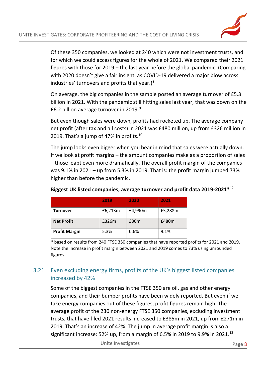

Of these 350 companies, we looked at 240 which were not investment trusts, and for which we could access figures for the whole of 2021. We compared their 2021 figures with those for 2019 – the last year before the global pandemic. (Comparing with 2020 doesn't give a fair insight, as COVID-19 delivered a major blow across industries' turnovers and profits that year.) $8$ 

On average, the big companies in the sample posted an average turnover of £5.3 billion in 2021. With the pandemic still hitting sales last year, that was down on the £6.2 billion average turnover in 2019. $9$ 

But even though sales were down, profits had rocketed up. The average company net profit (after tax and all costs) in 2021 was £480 million, up from £326 million in 2019. That's a jump of 47% in profits. $10$ 

The jump looks even bigger when you bear in mind that sales were actually down. If we look at profit margins – the amount companies make as a proportion of sales – those leapt even more dramatically. The overall profit margin of the companies was 9.1% in 2021 – up from 5.3% in 2019. That is: the profit margin jumped 73% higher than before the pandemic.<sup>11</sup>

|                      | 2019    | 2020             | 2021    |
|----------------------|---------|------------------|---------|
| Turnover             | £6,213m | £4,990m          | £5,288m |
| <b>Net Profit</b>    | £326m   | £30 <sub>m</sub> | £480m   |
| <b>Profit Margin</b> | 5.3%    | 0.6%             | 9.1%    |

#### **Biggest UK listed companies, average turnover and profit data 2019-2021\***<sup>12</sup>

\* based on results from 240 FTSE 350 companies that have reported profits for 2021 and 2019. Note the increase in profit margin between 2021 and 2019 comes to 73% using unrounded figures.

#### <span id="page-7-0"></span>3.21 Even excluding energy firms, profits of the UK's biggest listed companies increased by 42%

Some of the biggest companies in the FTSE 350 are oil, gas and other energy companies, and their bumper profits have been widely reported. But even if we take energy companies out of these figures, profit figures remain high. The average profit of the 230 non-energy FTSE 350 companies, excluding investment trusts, that have filed 2021 results increased to £385m in 2021, up from £271m in 2019. That's an increase of 42%. The jump in average profit margin is also a significant increase: 52% up, from a margin of 6.5% in 2019 to 9.9% in 2021.<sup>13</sup>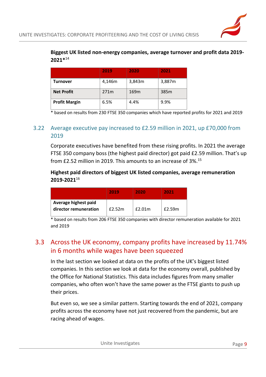#### **Biggest UK listed non-energy companies, average turnover and profit data 2019- 2021\***<sup>14</sup>

|                      | 2019   | 2020             | 2021   |
|----------------------|--------|------------------|--------|
| Turnover             | 4,146m | 3,843m           | 3,887m |
| <b>Net Profit</b>    | 271m   | 169 <sub>m</sub> | 385m   |
| <b>Profit Margin</b> | 6.5%   | 4.4%             | 9.9%   |

<span id="page-8-0"></span>\* based on results from 230 FTSE 350 companies which have reported profits for 2021 and 2019

#### 3.22 Average executive pay increased to £2.59 million in 2021, up £70,000 from 2019

Corporate executives have benefited from these rising profits. In 2021 the average FTSE 350 company boss (the highest paid director) got paid £2.59 million. That's up from £2.52 million in 2019. This amounts to an increase of 3%.<sup>15</sup>

#### **Highest paid directors of biggest UK listed companies, average remuneration 2019-2021**<sup>16</sup>

|                                               | 2019   | 2020   | 2021   |
|-----------------------------------------------|--------|--------|--------|
| Average highest paid<br>director remuneration | f2.52m | £2.01m | £2.59m |

\* based on results from 206 FTSE 350 companies with director remuneration available for 2021 and 2019

## <span id="page-8-1"></span>3.3 Across the UK economy, company profits have increased by 11.74% in 6 months while wages have been squeezed

In the last section we looked at data on the profits of the UK's biggest listed companies. In this section we look at data for the economy overall, published by the Office for National Statistics. This data includes figures from many smaller companies, who often won't have the same power as the FTSE giants to push up their prices.

But even so, we see a similar pattern. Starting towards the end of 2021, company profits across the economy have not just recovered from the pandemic, but are racing ahead of wages.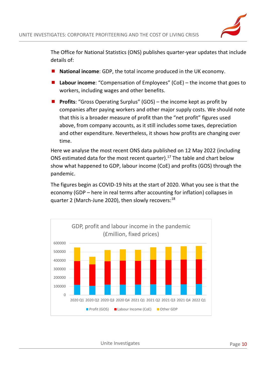

The Office for National Statistics (ONS) publishes quarter-year updates that include details of:

- **National income**: GDP, the total income produced in the UK economy.
- Labour income: "Compensation of Employees" (CoE) the income that goes to workers, including wages and other benefits.
- **Profits:** "Gross Operating Surplus" (GOS) the income kept as profit by companies after paying workers and other major supply costs. We should note that this is a broader measure of profit than the "net profit" figures used above, from company accounts, as it still includes some taxes, depreciation and other expenditure. Nevertheless, it shows how profits are changing over time.

Here we analyse the most recent ONS data published on 12 May 2022 (including ONS estimated data for the most recent quarter). $^{17}$  The table and chart below show what happened to GDP, labour income (CoE) and profits (GOS) through the pandemic.

The figures begin as COVID-19 hits at the start of 2020. What you see is that the economy (GDP – here in real terms after accounting for inflation) collapses in quarter 2 (March-June 2020), then slowly recovers:<sup>18</sup>



Unite Investigates **Page 10**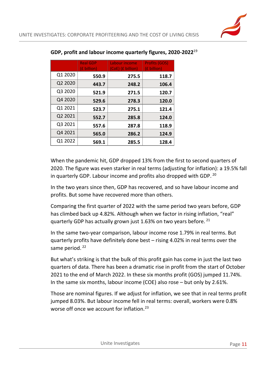|         | <b>Real GDP</b><br>(£ billion) | Labour income<br>(CoE) (£ billion) | <b>Profits (GOS)</b><br>(£ billion) |
|---------|--------------------------------|------------------------------------|-------------------------------------|
| Q1 2020 | 550.9                          | 275.5                              | 118.7                               |
| Q2 2020 | 443.7                          | 248.2                              | 106.4                               |
| Q3 2020 | 521.9                          | 271.5                              | 120.7                               |
| Q4 2020 | 529.6                          | 278.3                              | 120.0                               |
| Q1 2021 | 523.7                          | 275.1                              | 121.4                               |
| Q2 2021 | 552.7                          | 285.8                              | 124.0                               |
| Q3 2021 | 557.6                          | 287.8                              | 118.9                               |
| Q4 2021 | 565.0                          | 286.2                              | 124.9                               |
| Q1 2022 | 569.1                          | 285.5                              | 128.4                               |

#### **GDP, profit and labour income quarterly figures, 2020-2022**<sup>19</sup>

When the pandemic hit, GDP dropped 13% from the first to second quarters of 2020. The figure was even starker in real terms (adjusting for inflation): a 19.5% fall in quarterly GDP. Labour income and profits also dropped with GDP. <sup>20</sup>

In the two years since then, GDP has recovered, and so have labour income and profits. But some have recovered more than others.

Comparing the first quarter of 2022 with the same period two years before, GDP has climbed back up 4.82%. Although when we factor in rising inflation, "real" quarterly GDP has actually grown just 1.63% on two years before. <sup>21</sup>

In the same two-year comparison, labour income rose 1.79% in real terms. But quarterly profits have definitely done best – rising 4.02% in real terms over the same period.<sup>22</sup>

But what's striking is that the bulk of this profit gain has come in just the last two quarters of data. There has been a dramatic rise in profit from the start of October 2021 to the end of March 2022. In these six months profit (GOS) jumped 11.74%. In the same six months, labour income (COE) also rose – but only by 2.61%.

Those are nominal figures. If we adjust for inflation, we see that in real terms profit jumped 8.03%. But labour income fell in real terms: overall, workers were 0.8% worse off once we account for inflation.<sup>23</sup>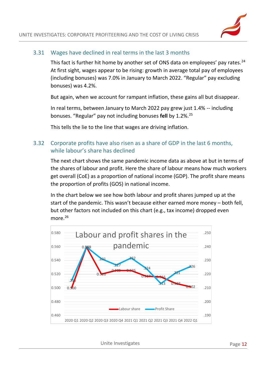

#### 3.31 Wages have declined in real terms in the last 3 months

<span id="page-11-0"></span>This fact is further hit home by another set of ONS data on employees' pay rates.<sup>24</sup> At first sight, wages appear to be rising: growth in average total pay of employees (including bonuses) was 7.0% in January to March 2022. "Regular" pay excluding bonuses) was 4.2%.

But again, when we account for rampant inflation, these gains all but disappear.

In real terms, between January to March 2022 pay grew just 1.4% -- including bonuses. "Regular" pay not including bonuses **fell** by 1.2%.<sup>25</sup>

<span id="page-11-1"></span>This tells the lie to the line that wages are driving inflation.

#### 3.32 Corporate profits have also risen as a share of GDP in the last 6 months, while labour's share has declined

The next chart shows the same pandemic income data as above at but in terms of the shares of labour and profit. Here the share of labour means how much workers get overall (CoE) as a proportion of national income (GDP). The profit share means the proportion of profits (GOS) in national income.

In the chart below we see how both labour and profit shares jumped up at the start of the pandemic. This wasn't because either earned more money – both fell, but other factors not included on this chart (e.g., tax income) dropped even more.<sup>26</sup>

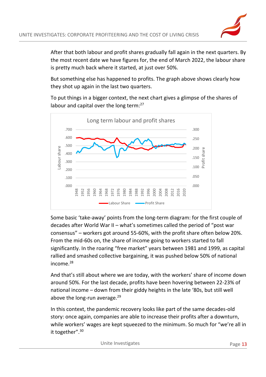After that both labour and profit shares gradually fall again in the next quarters. By the most recent date we have figures for, the end of March 2022, the labour share is pretty much back where it started, at just over 50%.

But something else has happened to profits. The graph above shows clearly how they shot up again in the last two quarters.

To put things in a bigger context, the next chart gives a glimpse of the shares of labour and capital over the long term:<sup>27</sup>



Some basic 'take-away' points from the long-term diagram: for the first couple of decades after World War II – what's sometimes called the period of "post war consensus" – workers got around 55-60%, with the profit share often below 20%. From the mid-60s on, the share of income going to workers started to fall significantly. In the roaring "free market" years between 1981 and 1999, as capital rallied and smashed collective bargaining, it was pushed below 50% of national income.<sup>28</sup>

And that's still about where we are today, with the workers' share of income down around 50%. For the last decade, profits have been hovering between 22-23% of national income – down from their giddy heights in the late '80s, but still well above the long-run average. $^{29}$ 

In this context, the pandemic recovery looks like part of the same decades-old story: once again, companies are able to increase their profits after a downturn, while workers' wages are kept squeezed to the minimum. So much for "we're all in it together".<sup>30</sup>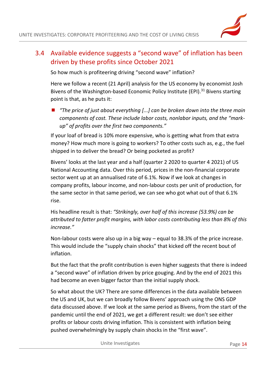## <span id="page-13-0"></span>3.4 Available evidence suggests a "second wave" of inflation has been driven by these profits since October 2021

So how much is profiteering driving "second wave" inflation?

Here we follow a recent (21 April) analysis for the US economy by economist Josh Bivens of the Washington-based Economic Policy Institute (EPI).<sup>31</sup> Bivens starting point is that, as he puts it:

■ *"The price of just about everything [...] can be broken down into the three main components of cost. These include labor costs, nonlabor inputs, and the "markup" of profits over the first two components."*

If your loaf of bread is 10% more expensive, who is getting what from that extra money? How much more is going to workers? To other costs such as, e.g., the fuel shipped in to deliver the bread? Or being pocketed as profit?

Bivens' looks at the last year and a half (quarter 2 2020 to quarter 4 2021) of US National Accounting data. Over this period, prices in the non-financial corporate sector went up at an annualised rate of 6.1%. Now if we look at changes in company profits, labour income, and non-labour costs per unit of production, for the same sector in that same period, we can see who got what out of that 6.1% rise.

His headline result is that: *"Strikingly, over half of this increase (53.9%) can be attributed to fatter profit margins, with labor costs contributing less than 8% of this increase."*

Non-labour costs were also up in a big way – equal to 38.3% of the price increase. This would include the "supply chain shocks" that kicked off the recent bout of inflation.

But the fact that the profit contribution is even higher suggests that there is indeed a "second wave" of inflation driven by price gouging. And by the end of 2021 this had become an even bigger factor than the initial supply shock.

So what about the UK? There are some differences in the data available between the US and UK, but we can broadly follow Bivens' approach using the ONS GDP data discussed above. If we look at the same period as Bivens, from the start of the pandemic until the end of 2021, we get a different result: we don't see either profits or labour costs driving inflation. This is consistent with inflation being pushed overwhelmingly by supply chain shocks in the "first wave".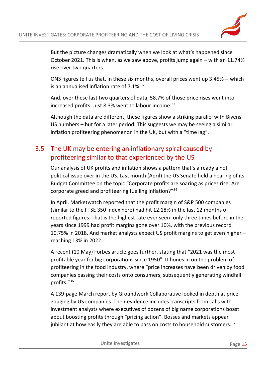

But the picture changes dramatically when we look at what's happened since October 2021. This is when, as we saw above, profits jump again – with an 11.74% rise over two quarters.

ONS figures tell us that, in these six months, overall prices went up 3.45% -- which is an annualised inflation rate of  $7.1\%$ .  $32$ 

And, over these last two quarters of data, 58.7% of those price rises went into increased profits. Just 8.3% went to labour income. 33

Although the data are different, these figures show a striking parallel with Bivens' US numbers – but for a later period. This suggests we may be seeing a similar inflation profiteering phenomenon in the UK, but with a "time lag".

## <span id="page-14-0"></span>3.5 The UK may be entering an inflationary spiral caused by profiteering similar to that experienced by the US

Our analysis of UK profits and inflation shows a pattern that's already a hot political issue over in the US. Last month (April) the US Senate held a hearing of its Budget Committee on the topic "Corporate profits are soaring as prices rise: Are corporate greed and profiteering fuelling inflation?"<sup>34</sup>

In April, Marketwatch reported that the profit margin of S&P 500 companies (similar to the FTSE 350 index here) had hit 12.18% in the last 12 months of reported figures. That is the highest rate ever seen: only three times before in the years since 1999 had profit margins gone over 10%, with the previous record 10.75% in 2018. And market analysts expect US profit margins to get even higher – reaching 13% in 2022.<sup>35</sup>

A recent (10 May) Forbes article goes further, stating that "2021 was the most profitable year for big corporations since 1950". It hones in on the problem of profiteering in the food industry, where "price increases have been driven by food companies passing their costs onto consumers, subsequently generating windfall profits."<sup>36</sup>

A 139-page March report by Groundwork Collaborative looked in depth at price gouging by US companies. Their evidence includes transcripts from calls with investment analysts where executives of dozens of big name corporations boast about boosting profits through "pricing action". Bosses and markets appear jubilant at how easily they are able to pass on costs to household customers.<sup>37</sup>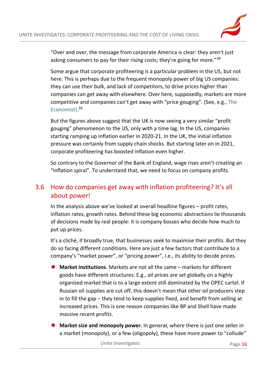

"Over and over, the message from corporate America is clear: they aren't just asking consumers to pay for their rising costs; they're going for more."<sup>38</sup>

Some argue that corporate profiteering is a particular problem in the US, but not here. This is perhaps due to the frequent monopoly power of big US companies: they can use their bulk, and lack of competitors, to drive prices higher than companies can get away with elsewhere. Over here, supposedly, markets are more competitive and companies can't get away with "price gouging". (See, e.g., [The](https://www.economist.com/finance-and-economics/labour-v-capital-in-the-post-lockdown-economy/21807700)  [Economist\)](https://www.economist.com/finance-and-economics/labour-v-capital-in-the-post-lockdown-economy/21807700). 39

But the figures above suggest that the UK is now seeing a very similar "profit gouging" phenomenon to the US, only with a time lag. In the US, companies starting ramping up inflation earlier in 2020-21. In the UK, the initial inflation pressure was certainly from supply chain shocks. But starting later on in 2021, corporate profiteering has boosted inflation even higher.

So contrary to the Governor of the Bank of England, wage rises aren't creating an "inflation spiral". To understand that, we need to focus on company profits.

## <span id="page-15-0"></span>3.6 How do companies get away with inflation profiteering? It's all about power!

In the analysis above we've looked at overall headline figures – profit rates, inflation rates, growth rates. Behind these big economic abstractions lie thousands of decisions made by real people: it is company bosses who decide how much to put up prices.

It's a cliché, if broadly true, that businesses seek to maximise their profits. But they do so facing different conditions. Here are just a few factors that contribute to a company's "market power", or "pricing power", i.e., its ability to decide prices.

- **Market institutions.** Markets are not all the same markets for different goods have different structures. E.g., oil prices are set globally on a highly organised market that is to a large extent still dominated by the OPEC cartel. If Russian oil supplies are cut off, this doesn't mean that other oil producers step in to fill the gap – they tend to keep supplies fixed, and benefit from selling at increased prices. This is one reason companies like BP and Shell have made massive recent profits.
- **Market size and monopoly power.** In general, where there is just one seller in a market (monopoly), or a few (oligopoly), these have more power to "collude"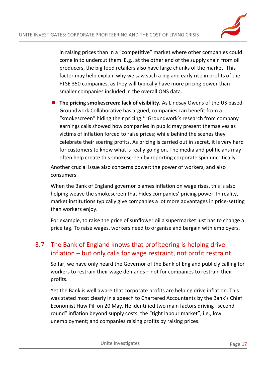

in raising prices than in a "competitive" market where other companies could come in to undercut them. E.g., at the other end of the supply chain from oil producers, the big food retailers also have large chunks of the market. This factor may help explain why we saw such a big and early rise in profits of the FTSE 350 companies, as they will typically have more pricing power than smaller companies included in the overall ONS data.

**The pricing smokescreen: lack of visibility.** As Lindsay Owens of the US based Groundwork Collaborative has argued, companies can benefit from a "smokescreen" hiding their pricing.<sup>40</sup> Groundwork's research from company earnings calls showed how companies in public may present themselves as victims of inflation forced to raise prices; while behind the scenes they celebrate their soaring profits. As pricing is carried out in secret, it is very hard for customers to know what is really going on. The media and politicians may often help create this smokescreen by reporting corporate spin uncritically.

Another crucial issue also concerns power: the power of workers, and also consumers.

When the Bank of England governor blames inflation on wage rises, this is also helping weave the smokescreen that hides companies' pricing power. In reality, market institutions typically give companies a lot more advantages in price-setting than workers enjoy.

For example, to raise the price of sunflower oil a supermarket just has to change a price tag. To raise wages, workers need to organise and bargain with employers.

## <span id="page-16-0"></span>3.7 The Bank of England knows that profiteering is helping drive inflation – but only calls for wage restraint, not profit restraint

So far, we have only heard the Governor of the Bank of England publicly calling for workers to restrain their wage demands – not for companies to restrain their profits.

Yet the Bank is well aware that corporate profits are helping drive inflation. This was stated most clearly in a speech to Chartered Accountants by the Bank's Chief Economist Huw Pill on 20 May. He identified two main factors driving "second round" inflation beyond supply costs: the "tight labour market", i.e., low unemployment; and companies raising profits by raising prices.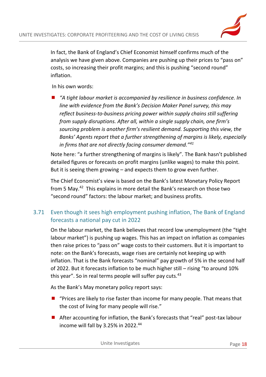

In fact, the Bank of England's Chief Economist himself confirms much of the analysis we have given above. Companies are pushing up their prices to "pass on" costs, so increasing their profit margins; and this is pushing "second round" inflation.

In his own words:

 *"A tight labour market is accompanied by resilience in business confidence. In line with evidence from the Bank's Decision Maker Panel survey, this may reflect business-to-business pricing power within supply chains still suffering from supply disruptions. After all, within a single supply chain, one firm's sourcing problem is another firm's resilient demand. Supporting this view, the Banks' Agents report that a further strengthening of margins is likely, especially in firms that are not directly facing consumer demand."<sup>41</sup>*

Note here: "a further strengthening of margins is likely". The Bank hasn't published detailed figures or forecasts on profit margins (unlike wages) to make this point. But it is seeing them growing – and expects them to grow even further.

The Chief Economist's view is based on the Bank's latest Monetary Policy Report from 5 May.<sup>42</sup> This explains in more detail the Bank's research on those two "second round" factors: the labour market; and business profits.

#### <span id="page-17-0"></span>3.71 Even though it sees high employment pushing inflation, The Bank of England forecasts a national pay cut in 2022

On the labour market, the Bank believes that record low unemployment (the "tight labour market") is pushing up wages. This has an impact on inflation as companies then raise prices to "pass on" wage costs to their customers. But it is important to note: on the Bank's forecasts, wage rises are certainly not keeping up with inflation. That is the Bank forecasts "nominal" pay growth of 5% in the second half of 2022. But it forecasts inflation to be much higher still – rising "to around 10% this year". So in real terms people will suffer pay cuts. $43$ 

As the Bank's May monetary policy report says:

- $\blacksquare$  "Prices are likely to rise faster than income for many people. That means that the cost of living for many people will rise."
- After accounting for inflation, the Bank's forecasts that "real" post-tax labour income will fall by 3.25% in 2022.<sup>44</sup>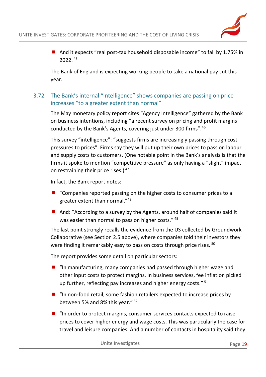■ And it expects "real post-tax household disposable income" to fall by 1.75% in 2022. <sup>45</sup>

<span id="page-18-0"></span>The Bank of England is expecting working people to take a national pay cut this year.

#### 3.72 The Bank's internal "intelligence" shows companies are passing on price increases "to a greater extent than normal"

The May monetary policy report cites "Agency Intelligence" gathered by the Bank on business intentions, including "a recent survey on pricing and profit margins conducted by the Bank's Agents, covering just under 300 firms".<sup>46</sup>

This survey "intelligence": "suggests firms are increasingly passing through cost pressures to prices". Firms say they will put up their own prices to pass on labour and supply costs to customers. (One notable point in the Bank's analysis is that the firms it spoke to mention "competitive pressure" as only having a "slight" impact on restraining their price rises.) 47

In fact, the Bank report notes:

- $\blacksquare$  "Companies reported passing on the higher costs to consumer prices to a greater extent than normal."<sup>48</sup>
- And: "According to a survey by the Agents, around half of companies said it was easier than normal to pass on higher costs." 49

The last point strongly recalls the evidence from the US collected by Groundwork Collaborative (see Section 2.5 above), where companies told their investors they were finding it remarkably easy to pass on costs through price rises. <sup>50</sup>

The report provides some detail on particular sectors:

- "In manufacturing, many companies had passed through higher wage and other input costs to protect margins. In business services, fee inflation picked up further, reflecting pay increases and higher energy costs." <sup>51</sup>
- $\blacksquare$  "In non-food retail, some fashion retailers expected to increase prices by between 5% and 8% this year." <sup>52</sup>
- $\blacksquare$  "In order to protect margins, consumer services contacts expected to raise prices to cover higher energy and wage costs. This was particularly the case for travel and leisure companies. And a number of contacts in hospitality said they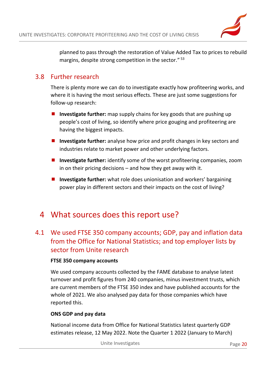

planned to pass through the restoration of Value Added Tax to prices to rebuild margins, despite strong competition in the sector." <sup>53</sup>

### <span id="page-19-0"></span>3.8 Further research

There is plenty more we can do to investigate exactly how profiteering works, and where it is having the most serious effects. These are just some suggestions for follow-up research:

- **Investigate further:** map supply chains for key goods that are pushing up people's cost of living, so identify where price gouging and profiteering are having the biggest impacts.
- **Investigate further:** analyse how price and profit changes in key sectors and industries relate to market power and other underlying factors.
- **Investigate further:** identify some of the worst profiteering companies, zoom in on their pricing decisions – and how they get away with it.
- Investigate further: what role does unionisation and workers' bargaining power play in different sectors and their impacts on the cost of living?

## <span id="page-19-1"></span>4 What sources does this report use?

## <span id="page-19-2"></span>4.1 We used FTSE 350 company accounts; GDP, pay and inflation data from the Office for National Statistics; and top employer lists by sector from Unite research

#### **FTSE 350 company accounts**

We used company accounts collected by the FAME database to analyse latest turnover and profit figures from 240 companies, minus investment trusts, which are current members of the FTSE 350 index and have published accounts for the whole of 2021. We also analysed pay data for those companies which have reported this.

#### **ONS GDP and pay data**

National income data from Office for National Statistics latest quarterly GDP estimates release, 12 May 2022. Note the Quarter 1 2022 (January to March)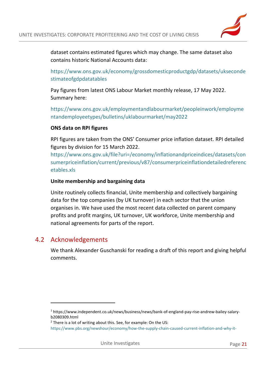dataset contains estimated figures which may change. The same dataset also contains historic National Accounts data:

[https://www.ons.gov.uk/economy/grossdomesticproductgdp/datasets/ukseconde](https://www.ons.gov.uk/economy/grossdomesticproductgdp/datasets/uksecondestimateofgdpdatatables) [stimateofgdpdatatables](https://www.ons.gov.uk/economy/grossdomesticproductgdp/datasets/uksecondestimateofgdpdatatables)

Pay figures from latest ONS Labour Market monthly release, 17 May 2022. Summary here:

[https://www.ons.gov.uk/employmentandlabourmarket/peopleinwork/employme](https://www.ons.gov.uk/employmentandlabourmarket/peopleinwork/employmentandemployeetypes/bulletins/uklabourmarket/may2022) [ntandemployeetypes/bulletins/uklabourmarket/may2022](https://www.ons.gov.uk/employmentandlabourmarket/peopleinwork/employmentandemployeetypes/bulletins/uklabourmarket/may2022)

#### **ONS data on RPI figures**

RPI figures are taken from the ONS' Consumer price inflation dataset. RPI detailed figures by division for 15 March 2022.

[https://www.ons.gov.uk/file?uri=/economy/inflationandpriceindices/datasets/con](https://www.ons.gov.uk/file?uri=/economy/inflationandpriceindices/datasets/consumerpriceinflation/current/previous/v87/consumerpriceinflationdetailedreferencetables.xls) [sumerpriceinflation/current/previous/v87/consumerpriceinflationdetailedreferenc](https://www.ons.gov.uk/file?uri=/economy/inflationandpriceindices/datasets/consumerpriceinflation/current/previous/v87/consumerpriceinflationdetailedreferencetables.xls) [etables.xls](https://www.ons.gov.uk/file?uri=/economy/inflationandpriceindices/datasets/consumerpriceinflation/current/previous/v87/consumerpriceinflationdetailedreferencetables.xls)

#### **Unite membership and bargaining data**

Unite routinely collects financial, Unite membership and collectively bargaining data for the top companies (by UK turnover) in each sector that the union organises in. We have used the most recent data collected on parent company profits and profit margins, UK turnover, UK workforce, Unite membership and national agreements for parts of the report.

#### <span id="page-20-0"></span>4.2 Acknowledgements

 $\overline{a}$ 

We thank Alexander Guschanski for reading a draft of this report and giving helpful comments.

<sup>1</sup> https://www.independent.co.uk/news/business/news/bank-of-england-pay-rise-andrew-bailey-salaryb2080309.html

 $2$  There is a lot of writing about this. See, for example: On the US:

[https://www.pbs.org/newshour/economy/how-the-supply-chain-caused-current-inflation-and-why-it-](https://www.pbs.org/newshour/economy/how-the-supply-chain-caused-current-inflation-and-why-it-might-be-here-to-stay)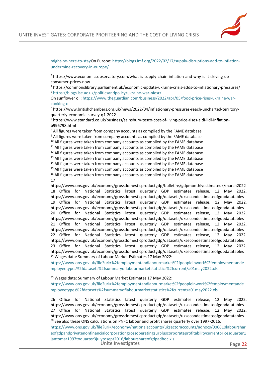

 $\overline{a}$ 

[might-be-here-to-stayO](https://www.pbs.org/newshour/economy/how-the-supply-chain-caused-current-inflation-and-why-it-might-be-here-to-stay)n Europe[: https://blogs.imf.org/2022/02/17/supply-disruptions-add-to-inflation](https://blogs.imf.org/2022/02/17/supply-disruptions-add-to-inflation-undermine-recovery-in-europe/)[undermine-recovery-in-europe/](https://blogs.imf.org/2022/02/17/supply-disruptions-add-to-inflation-undermine-recovery-in-europe/)

<sup>3</sup> https://www.economicsobservatory.com/what-is-supply-chain-inflation-and-why-is-it-driving-upconsumer-prices-now

<sup>4</sup> https://commonslibrary.parliament.uk/economic-update-ukraine-crisis-adds-to-inflationary-pressures/ <sup>5</sup> <https://blogs.lse.ac.uk/politicsandpolicy/ukraine-war-niesr/>

On sunflower oil: [https://www.theguardian.com/business/2022/apr/05/food-price-rises-ukraine-war](https://www.theguardian.com/business/2022/apr/05/food-price-rises-ukraine-war-cooking-oil)[cooking-oil](https://www.theguardian.com/business/2022/apr/05/food-price-rises-ukraine-war-cooking-oil)

<sup>6</sup> https://www.britishchambers.org.uk/news/2022/04/inflationary-pressures-reach-uncharted-territoryquarterly-economic-survey-q1-2022

<sup>7</sup> https://www.standard.co.uk/business/sainsbury-tesco-cost-of-living-price-rises-aldi-lidl-inflationb996798.html

<sup>8</sup> All figures were taken from company accounts as compiled by the FAME database

<sup>9</sup> All figures were taken from company accounts as compiled by the FAME database

 $10$  All figures were taken from company accounts as compiled by the FAME database

 $11$  All figures were taken from company accounts as compiled by the FAME database

 $12$  All figures were taken from company accounts as compiled by the FAME database

 $13$  All figures were taken from company accounts as compiled by the FAME database

<sup>14</sup> All figures were taken from company accounts as compiled by the FAME database  $15$  All figures were taken from company accounts as compiled by the FAME database

<sup>16</sup> All figures were taken from company accounts as compiled by the FAME database 17

https://www.ons.gov.uk/economy/grossdomesticproductgdp/bulletins/gdpmonthlyestimateuk/march2022 18 Office for National Statistics latest quarterly GDP estimates release, 12 May 2022. <https://www.ons.gov.uk/economy/grossdomesticproductgdp/datasets/uksecondestimateofgdpdatatables> 19 Office for National Statistics latest quarterly GDP estimates release, 12 May 2022. <https://www.ons.gov.uk/economy/grossdomesticproductgdp/datasets/uksecondestimateofgdpdatatables> 20 Office for National Statistics latest quarterly GDP estimates release, 12 May 2022. <https://www.ons.gov.uk/economy/grossdomesticproductgdp/datasets/uksecondestimateofgdpdatatables> 21 Office for National Statistics latest quarterly GDP estimates release, 12 May 2022. <https://www.ons.gov.uk/economy/grossdomesticproductgdp/datasets/uksecondestimateofgdpdatatables> 22 Office for National Statistics latest quarterly GDP estimates release, 12 May 2022. <https://www.ons.gov.uk/economy/grossdomesticproductgdp/datasets/uksecondestimateofgdpdatatables> 23 Office for National Statistics latest quarterly GDP estimates release, 12 May 2022. <https://www.ons.gov.uk/economy/grossdomesticproductgdp/datasets/uksecondestimateofgdpdatatables> <sup>24</sup> Wages data: Summary of Labour Market Estimates 17 May 2022:

[https://www.ons.gov.uk/file?uri=%2femploymentandlabourmarket%2fpeopleinwork%2femploymentande](https://www.ons.gov.uk/file?uri=%2femploymentandlabourmarket%2fpeopleinwork%2femploymentandemployeetypes%2fdatasets%2fsummaryoflabourmarketstatistics%2fcurrent/a01may2022.xls) [mployeetypes%2fdatasets%2fsummaryoflabourmarketstatistics%2fcurrent/a01may2022.xls](https://www.ons.gov.uk/file?uri=%2femploymentandlabourmarket%2fpeopleinwork%2femploymentandemployeetypes%2fdatasets%2fsummaryoflabourmarketstatistics%2fcurrent/a01may2022.xls)

<sup>25</sup> Wages data: Summary of Labour Market Estimates 17 May 2022:

[https://www.ons.gov.uk/file?uri=%2femploymentandlabourmarket%2fpeopleinwork%2femploymentande](https://www.ons.gov.uk/file?uri=%2femploymentandlabourmarket%2fpeopleinwork%2femploymentandemployeetypes%2fdatasets%2fsummaryoflabourmarketstatistics%2fcurrent/a01may2022.xls) [mployeetypes%2fdatasets%2fsummaryoflabourmarketstatistics%2fcurrent/a01may2022.xls](https://www.ons.gov.uk/file?uri=%2femploymentandlabourmarket%2fpeopleinwork%2femploymentandemployeetypes%2fdatasets%2fsummaryoflabourmarketstatistics%2fcurrent/a01may2022.xls)

26 Office for National Statistics latest quarterly GDP estimates release, 12 May 2022. <https://www.ons.gov.uk/economy/grossdomesticproductgdp/datasets/uksecondestimateofgdpdatatables> 27 Office for National Statistics latest quarterly GDP estimates release, 12 May 2022. <https://www.ons.gov.uk/economy/grossdomesticproductgdp/datasets/uksecondestimateofgdpdatatables>  $^{28}$  See also these ONS calculations on PNFC labour and profit shares quarterly over 1997-2016:

Unite Investigates and the Page 22 [https://www.ons.gov.uk/file?uri=/economy/nationalaccounts/uksectoraccounts/adhocs/006610labourshar](https://www.ons.gov.uk/file?uri=/economy/nationalaccounts/uksectoraccounts/adhocs/006610labourshareofgdpandprivatenonfinancialcorporationgrossoperatingsurpluscorporateprofitabilitycurrentpricesquarter1jantomar1997toquarter3julytosept2016/labourshareofgdpadhoc.xls) [eofgdpandprivatenonfinancialcorporationgrossoperatingsurpluscorporateprofitabilitycurrentpricesquarter1](https://www.ons.gov.uk/file?uri=/economy/nationalaccounts/uksectoraccounts/adhocs/006610labourshareofgdpandprivatenonfinancialcorporationgrossoperatingsurpluscorporateprofitabilitycurrentpricesquarter1jantomar1997toquarter3julytosept2016/labourshareofgdpadhoc.xls) [jantomar1997toquarter3julytosept2016/labourshareofgdpadhoc.xls](https://www.ons.gov.uk/file?uri=/economy/nationalaccounts/uksectoraccounts/adhocs/006610labourshareofgdpandprivatenonfinancialcorporationgrossoperatingsurpluscorporateprofitabilitycurrentpricesquarter1jantomar1997toquarter3julytosept2016/labourshareofgdpadhoc.xls)